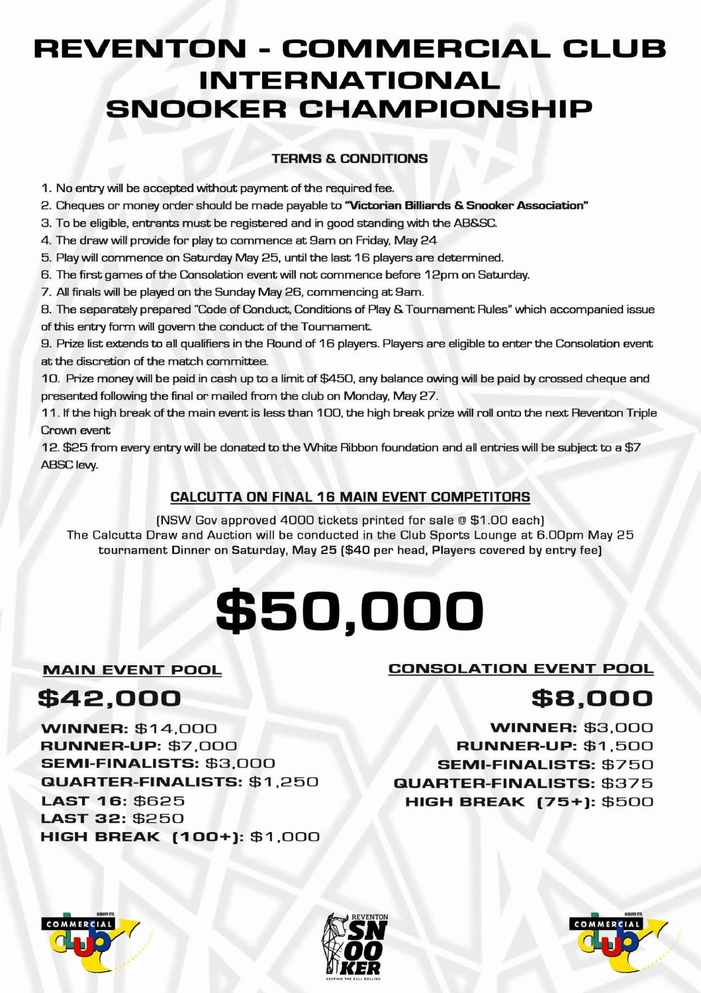## **REVENTON - COMMERCIAL CLUB INTERNATIONAL SNOOKER CHAMPIONSHIP**

#### **TERMS & CONDITIONS**

1 . No entry will be accepted without payment of the required fee.

2 . Cheques or money order should be made payable to **"Victorian Billiards** & **Snooker Association"** 

3 . To be eligible, entrants must be registered and in good standing with the AB&SC.

4 . The draw will provide for play to commence at 9am on Friday, May 24

5 . Play will commence on Saturday May 25, until the last 16 players are determined.

6 . The first games of the Consolation event will not commence before 12pm on Saturday.

7 . All finals will be played on the Sunday May 26, commencing at 9am.

8. The separately prepared "Code of Conduct, Conditions of Play & Tournament Rules" which accompanied issue of this entry form will govern the conduct of the Tournament.

9 . Prize list extends to all qualifiers in the Round of 16 players. Players are eligible to enter the Consolation event at the discretion of the match committee.

10. Prize money will be paid in cash up to a limit of \$450, any balance owing will be paid by crossed cheque and presented following the final or mailed from the club on Monday, May 27.

11 . If the high break of the main event is less than 100, the high break prize will roll onto the next Reventon Triple Crown event

1 2 . \$25 from every entry will be donated to the White Ribbon foundation and all entries will be subject to a \$7 ABSC lew.

#### **CALCUTTA ON FINAL 16 MAIN EVENT COMPETITORS**

(NSW Gov approved 4000 tickets printed for sale @ \$1 .00 each) The Calcutta Draw and Auction will be conducted in the Club Sports Lounge at 6.00pm May 25 tournament Dinner on Saturday, May 25 (\$40 per head, Players covered by entry fee)

# **\$50,000**

**MAIN EVENT POOL** 

**\$42,000** 

#### **CONSOLATION EVENT POOL**

## **\$B,000**

**\NINNER:** \$14,000 **RUNNER-UP:** \$7,000 **SEMI-FINALISTS:** \$3,000 **QUARTER-FINALISTS:** \$1,250 **LAST 16:** \$625 **LAST 32:** \$250 **HIGH BREAK (100+): \$1,000** 

**\NINNER:** \$3,000 **RUNNER-UP:** \$1,500 **SEMI-FINALISTS:** \$750 **QUARTER-FINALISTS:** \$375 **HIGH BREAK (75+):** \$500